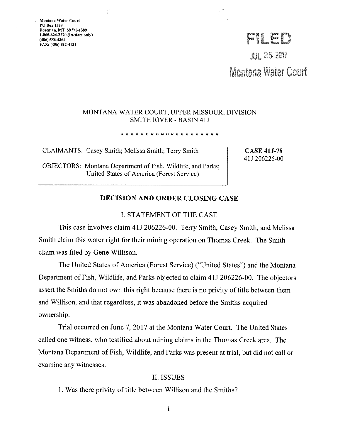**Montana Water Court PO Box 1389 Bozeman, MT 59771-1389 I-800-624-3270 (In-state only)**  (406) 586-4364<br>FAX: (406) 522-4131 PO Box 1389<br>Bozeman, MT 59771-1389<br>1-800-624-3270 (In-state only)<br>(406) 586-4364<br>FAX: (406) 522-4131

 $JUL$   $25$   $201$ Montana Water Court

## MONTANA WATER COURT, UPPER MISSOURI DIVISION SMITH RIVER - BASIN 41J

\* \* \* \* \* \* \* \* \* \* \* \* \* \* \* \* \* \* \* \*

CLAIMANTS: Casey Smith; Melissa Smith; Terry Smith

OBJECTORS: Montana Department of Fish, Wildlife, and Parks; United States of America (Forest Service)

**CASE 41J-78**  4 lJ 206226-00

# **DECISION AND ORDER CLOSING CASE**

#### I. STATEMENT OF THE CASE

This case involves claim 41J 206226-00. Terry Smith, Casey Smith, and Melissa Smith claim this water right for their mining operation on Thomas Creek. The Smith claim was filed by Gene Willison.

The United States of America (Forest Service) ("United States") and the Montana Department of Fish, Wildlife, and Parks objected to claim 4IJ 206226-00. The objectors assert the Smiths do not own this right because there is no privity of title between them and Willison, and that regardless, it was abandoned before the Smiths acquired ownership.

Trial occurred on June 7, 2017 at the Montana Water Court. The United States called one witness, who testified about mining claims in the Thomas Creek area. The Montana Department of Fish, Wildlife, and Parks was present at trial, but did not call or examine any witnesses.

#### II. ISSUES

I. Was there privity of title between Willison and the Smiths?

 $\mathbf{1}$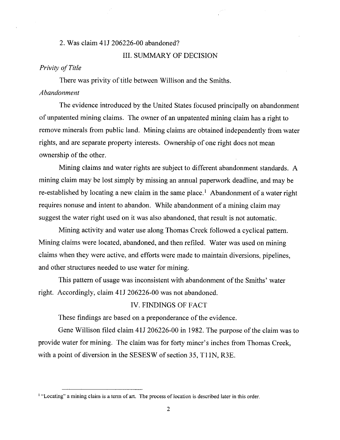# 2. Was claim 4 lJ 206226-00 abandoned?

## III. SUMMARY OF DECISION

# *Privity of Title*

There was privity of title between Willison and the Smiths. *Abandonment* 

The evidence introduced by the United States focused principally on abandonment of unpatented mining claims. The owner of an unpatented mining claim has a right to remove minerals from public land. Mining claims are obtained independently from water rights, and are separate property interests. Ownership of one right does not mean ownership of the other.

Mining claims and water rights are subject to different abandonment standards. A mining claim may be lost simply by missing an annual paperwork deadline, and may be re-established by locating a new claim in the same place.<sup>1</sup> Abandonment of a water right requires nonuse and intent to abandon. While abandonment of a mining claim may suggest the water right used on it was also abandoned, that result is not automatic.

Mining activity and water use along Thomas Creek followed a cyclical pattern. Mining claims were located, abandoned, and then refiled. Water was used on mining claims when they were active, and efforts were made to maintain diversions, pipelines, and other structures needed to use water for mining.

This pattern of usage was inconsistent with abandonment of the Smiths' water right. Accordingly, claim 41J 206226-00 was not abandoned.

# IV. FINDINGS OF FACT

These findings are based on a preponderance of the evidence.

Gene Willison filed claim 4IJ 206226-00 in 1982. The purpose of the claim was to provide water for mining. The claim was for forty miner's inches from Thomas Creek, with a point of diversion in the SESESW of section 35, T11N, R3E.

<sup>&</sup>lt;sup>1</sup> "Locating" a mining claim is a term of art. The process of location is described later in this order.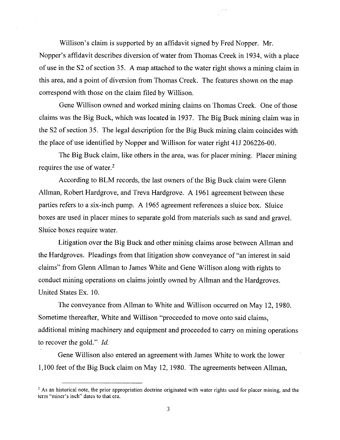Willison's claim is supported by an affidavit signed by Fred Nopper. Mr. Nopper's affidavit describes diversion of water from Thomas Creek in 1934, with a place of use in the S2 of section 35. A map attached to the water right shows a mining claim in this area, and a point of diversion from Thomas Creek. The features shown on the map correspond with those on the claim filed by Willison.

Gene Willison owned and worked mining claims on Thomas Creek. One of those claims was the Big Buck, which was located in 1937. The Big Buck mining claim was in the S2 of section 35. The legal description for the Big Buck mining claim coincides with the place of use identified by Nopper and Willison for water right 4IJ 206226-00.

The Big Buck claim, like others in the area, was for placer mining. Placer mining requires the use of water. $2$ 

According to BLM records, the last owners of the Big Buck claim were Glenn Allman, Robert Hardgrove, and Treva Hardgrove. A 1961 agreement between these parties refers to a six-inch pump. A 1965 agreement references a sluice box. Sluice boxes are used in placer mines to separate gold from materials such as sand and gravel. Sluice boxes require water.

Litigation over the Big Buck and other mining claims arose between Allman and the Hardgroves. Pleadings from that litigation show conveyance of "an interest in said claims" from Glenn Allman to James White and Gene Willison along with rights to conduct mining operations on claims jointly owned by Allman and the Hardgroves. United States Ex. 10.

The conveyance from Allman to White and Willison occurred on May 12, 1980. Sometime thereafter, White and Willison "proceeded to move onto said claims, additional mining machinery and equipment and proceeded to carry on mining operations to recover the gold." *Id.* 

Gene Willison also entered an agreement with James White to work the lower 1,100 feet of the Big Buck claim on May 12, 1980. The agreements between Allman,

<sup>&</sup>lt;sup>2</sup> As an historical note, the prior appropriation doctrine originated with water rights used for placer mining, and the **term "miner's inch" dates to that** era.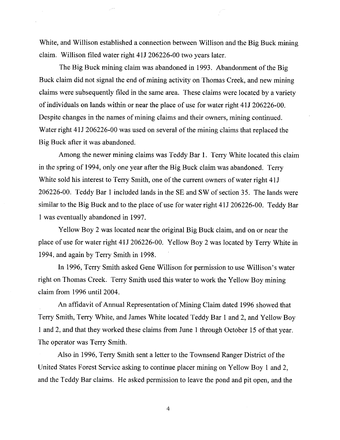White, and Willison established a connection between Willison and the Big Buck mining claim. Willison filed water right 4 IJ 206226-00 two years later.

The Big Buck mining claim was abandoned in 1993. Abandonment of the Big Buck claim did not signal the end of mining activity on Thomas Creek, and new mining claims were subsequently filed in the same area. These claims were located by a variety of individuals on lands within or near the place of use for water right 41J 206226-00. Despite changes in the names of mining claims and their owners, mining continued. Water right 41J 206226-00 was used on several of the mining claims that replaced the Big Buck after it was abandoned.

Among the newer mining claims was Teddy Bar I. Terry White located this claim in the spring of 1994, only one year after the Big Buck claim was abandoned. Terry White sold his interest to Terry Smith, one of the current owners of water right 4IJ 206226-00. Teddy Bar I included lands in the SE and SW of section 35. The lands were similar to the Big Buck and to the place of use for water right 41J 206226-00. Teddy Bar 1 was eventually abandoned in 1997.

Yellow Boy 2 was located near the original Big Buck claim, and on or near the place of use for water right 41J 206226-00. Yellow Boy 2 was located by Terry White in 1994, and again by Terry Smith in 1998.

In 1996, Terry Smith asked Gene Willison for permission to use Willison's water right on Thomas Creek. Terry Smith used this water to work the Yellow Boy mining claim from 1996 until 2004.

An affidavit of Annual Representation of Mining Claim dated 1996 showed that Terry Smith, Terry White, and James White located Teddy Bar 1 and 2, and Yellow Boy 1 and 2, and that they worked these claims from June 1 through October 15 of that year. The operator was Terry Smith.

Also in 1996, Terry Smith sent a letter to the Townsend Ranger District of the United States Forest Service asking to continue placer mining on Yellow Boy I and 2, and the Teddy Bar claims. He asked permission to leave the pond and pit open, and the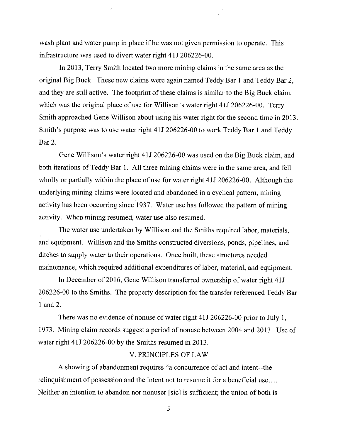wash plant and water pump in place if he was not given permission to operate. This infrastructure was used to divert water right 4 IJ 206226-00.

In 2013, Terry Smith located two more mining claims in the same area as the original Big Buck. These new claims were again named Teddy Bar 1 and Teddy Bar 2, and they are still active. The footprint of these claims is similar to the Big Buck claim, which was the original place of use for Willison's water right 411 206226-00. Terry Smith approached Gene Willison about using his water right for the second time in 2013. Smith's purpose was to use water right 411 206226-00 to work Teddy Bar I and Teddy Bar 2.

Gene Willison's water right 41J 206226-00 was used on the Big Buck claim, and both iterations of Teddy Bar 1. All three mining claims were in the same area, and fell wholly or partially within the place of use for water right 41J 206226-00. Although the underlying mining claims were located and abandoned in a cyclical pattern, mining activity has been occurring since 1937. Water use has followed the pattern of mining activity. When mining resumed, water use also resumed.

The water use undertaken by Willison and the Smiths required labor, materials, and equipment. Willison and the Smiths constructed diversions, ponds, pipelines, and ditches to supply water to their operations. Once built, these structures needed maintenance, which required additional expenditures of labor, material, and equipment.

In December of 2016, Gene Willison transferred ownership of water right 41J 206226-00 to the Smiths. The property description for the transfer referenced Teddy Bar 1 and 2.

There was no evidence of nonuse of water right 41J 206226-00 prior to July 1, 1973. Mining claim records suggest a period of nonuse between 2004 and 2013. Use of water right 41J 206226-00 by the Smiths resumed in 2013.

# V. PRINCIPLES OF LAW

A showing of abandonment requires "a concurrence of act and intent--the relinquishment of possession and the intent not to resume it for a beneficial use .... Neither an intention to abandon nor nonuser [sic] is sufficient; the union of both is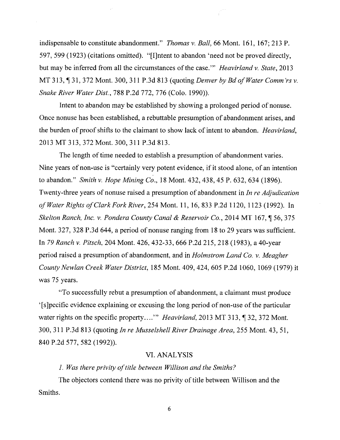indispensable to constitute abandonment." *Thomas* v. *Ball,* 66 Mont. 161, 167; 213 P. 597, 599 ( 1923) ( citations omitted). "[I]ntent to abandon 'need not be proved directly, but may be inferred from all the circumstances of the case."' *Heavirland* v. *State,* 2013 MT 313, 1 31, 372 Mont. 300, 311 P.3d 813 (quoting *Denver by Bd of Water Comm'rs v. Snake River Water Dist.,* 788 P.2d 772, 776 (Colo. 1990)).

Intent to abandon may be established by showing a prolonged period of nonuse. Once nonuse has been established, a rebuttable presumption of abandonment arises, and the burden of proof shifts to the claimant to show lack of intent to abandon. *Heavirland,*  2013 MT 313, 372 Mont. 300, 311 P.3d 813.

The length of time needed to establish a presumption of abandonment varies. Nine years of non-use is "certainly very potent evidence, if it stood alone, of an intention to abandon." *Smith* v. *Hope Mining Co.,* 18 Mont. 432,438, 45 P. 632,634 (1896). Twenty-three years of non use raised a presumption of abandonment in *In re Adjudication of Water Rights of Clark Fork River,* 254 Mont. 11, 16, 833 P.2d 1120, 1123 (1992). In *Skelton Ranch, Inc. v. Pondera County Canal & Reservoir Co., 2014 MT 167, 156,375* Mont. 327, 328 P.3d 644, a period of nonuse ranging from 18 to 29 years was sufficient. In *79 Ranch* v. *Pitsch,* 204 Mont. 426, 432-33, 666 P.2d 215, 218 (1983), a 40-year period raised a presumption of abandonment, and in *Holmstrom Land Co.* v. *Meagher County Newlan Creek Water District,* 185 Mont. 409, 424, 605 P.2d 1060, 1069 (1979) it was 75 years.

"To successfully rebut a presumption of abandonment, a claimant must produce ' [ s ]pecific evidence explaining or excusing the long period of non-use of the particular water rights on the specific property...." *Heavirland*, 2013 MT 313, ¶ 32, 372 Mont. 300, 311 P.3d 813 ( quoting *In re Musselshell River Drainage Area,* 255 Mont. 43, 51, 840 P.2d 577, 582 (1992)).

#### VI. ANALYSIS

*1. Was there privity of title between Willison and the Smiths?* 

The objectors contend there was no privity of title between Willison and the Smiths.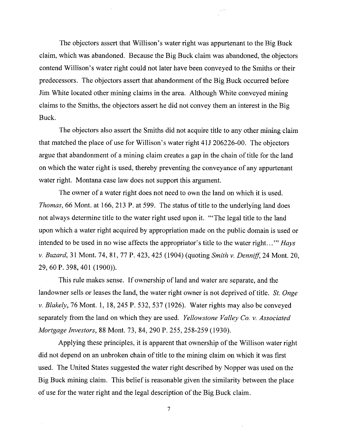The objectors assert that Willison's water right was appurtenant to the Big Buck claim, which was abandoned. Because the Big Buck claim was abandoned, the objectors contend Willison's water right could not later have been conveyed to the Smiths or their predecessors. The objectors assert that abandonment of the Big Buck occurred before Jim White located other mining claims in the area. Although White conveyed mining claims to the Smiths, the objectors assert he did not convey them an interest in the Big Buck.

The objectors also assert the Smiths did not acquire title to any other mining claim that matched the place of use for Willison's water right 41J 206226-00. The objectors argue that abandonment of a mining claim creates a gap in the chain of title for the land on which the water right is used, thereby preventing the conveyance of any appurtenant water right. Montana case law does not support this argument.

The owner of a water right does not need to own the land on which it is used. *Thomas*, 66 Mont. at 166, 213 P. at 599. The status of title to the underlying land does not always determine title to the water right used upon it. "'The legal title to the land upon which a water right acquired by appropriation made on the public domain is used or intended to be used in no wise affects the appropriator's title to the water right. .. "' *Hays v. Buzard,* 31 Mont. 74, 81, 77 P. 423,425 (1904) (quoting *Smith v. Denniff,* 24 Mont. 20, 29, 60 P. 398,401 (1900)).

This rule makes sense. If ownership of land and water are separate, and the landowner sells or leases the land, the water right owner is not deprived of title. *St. Onge v. Blakely,* 76 Mont. 1, 18,245 P. 532,537 (1926). Water rights may also be conveyed separately from the land on which they are used. *Yellowstone Valley Co. v. Associated Mortgage Investors,* 88 Mont. 73, 84,290 P. 255, 258-259 (1930).

Applying these principles, it is apparent that ownership of the Willison water right did not depend on an unbroken chain of title to the mining claim on which it was first used. The United States suggested the water right described by Nopper was used on the Big Buck mining claim. This belief is reasonable given the similarity between the place of use for the water right and the legal description of the Big Buck claim.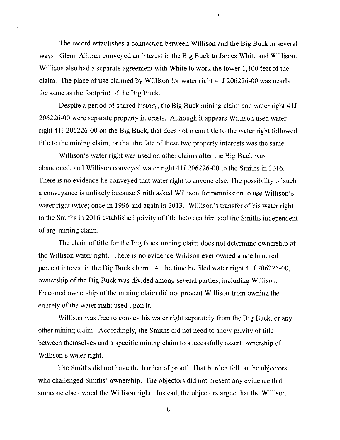The record establishes a connection between Willison and the Big Buck in several ways. Glenn Allman conveyed an interest in the Big Buck to James White and Willison. Willison also had a separate agreement with White to work the lower 1,100 feet of the claim. The place of use claimed by Willison for water right 41J 206226-00 was nearly the same as the footprint of the Big Buck.

Despite a period of shared history, the Big Buck mining claim and water right 41J 206226-00 were separate property interests. Although it appears Willison used water right 41J 206226-00 on the Big Buck, that does not mean title to the water right followed title to the mining claim, or that the fate of these two property interests was the same.

Willison's water right was used on other claims after the Big Buck was abandoned, and Willison conveyed water right 41J 206226-00 to the Smiths in 2016. There is no evidence he conveyed that water right to anyone else. The possibility of such a conveyance is unlikely because Smith asked Willison for permission to use Willison's water right twice; once in 1996 and again in 2013. Willison's transfer of his water right to the Smiths in 2016 established privity of title between him and the Smiths independent of any mining claim.

The chain of title for the Big Buck mining claim does not determine ownership of the Willison water right. There is no evidence Willison ever owned a one hundred percent interest in the Big Buck claim. At the time he filed water right 4IJ 206226-00, ownership of the Big Buck was divided among several parties, including Willison. Fractured ownership of the mining claim did not prevent Willison from owning the entirety of the water right used upon it.

Willison was free to convey his water right separately from the Big Buck, or any other mining claim. Accordingly, the Smiths did not need to show privity of title between themselves and a specific mining claim to successfully assert ownership of Willison's water right.

The Smiths did not have the burden of proof. That burden fell on the objectors who challenged Smiths' ownership. The objectors did not present any evidence that someone else owned the Willison right. Instead, the objectors argue that the Willison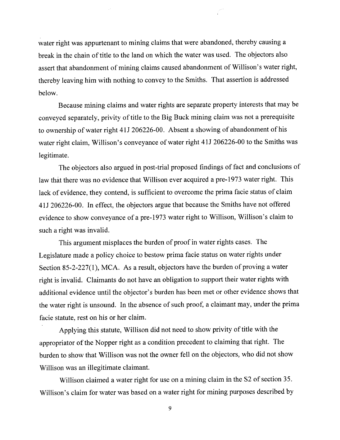water right was appurtenant to mining claims that were abandoned, thereby causing a break in the chain of title to the land on which the water was used. The objectors also assert that abandonment of mining claims caused abandonment of Willison's water right, thereby leaving him with nothing to convey to the Smiths. That assertion is addressed below.

Because mining claims and water rights are separate property interests that may be conveyed separately, privity of title to the Big Buck mining claim was not a prerequisite to ownership of water right 4 IJ 206226-00. Absent a showing of abandonment of his water right claim, Willison's conveyance of water right 41J 206226-00 to the Smiths was legitimate.

The objectors also argued in post-trial proposed findings of fact and conclusions of law that there was no evidence that Willison ever acquired a pre-1973 water right. This lack of evidence, they contend, is sufficient to overcome the prima facie status of claim 41J 206226-00. In effect, the objectors argue that because the Smiths have not offered evidence to show conveyance of a pre-1973 water right to Willison, Willison's claim to such a right was invalid.

This argument misplaces the burden of proof in water rights cases. The Legislature made a policy choice to bestow prima facie status on water rights under Section 85-2-227(1), MCA. As a result, objectors have the burden of proving a water right is invalid. Claimants do not have an obligation to support their water rights with additional evidence until the objector's burden has been met or other evidence shows that the water right is unsound. In the absence of such proof, a claimant may, under the prima facie statute, rest on his or her claim.

Applying this statute, Willison did not need to show privity of title with the appropriator of the Nopper right as a condition precedent to claiming that right. The burden to show that Willison was not the owner fell on the objectors, who did not show Willison was an illegitimate claimant.

Willison claimed a water right for use on a mining claim in the S2 of section 35. Willison's claim for water was based on a water right for mining purposes described by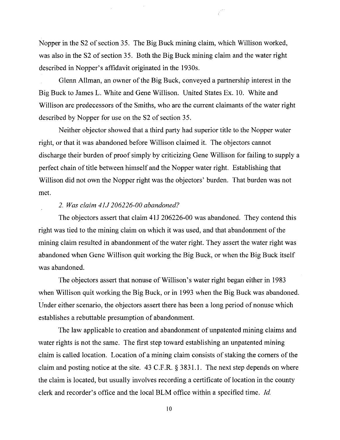Nopper in the S2 of section 35. The Big Buck mining claim, which Willison worked, was also in the S2 of section 35. Both the Big Buck mining claim and the water right described in Nopper's affidavit originated in the 1930s.

Glenn Allman, an owner of the Big Buck, conveyed a partnership interest in the Big Buck to James L. White and Gene Willison. United States Ex. 10. White and Willison are predecessors of the Smiths, who are the current claimants of the water right described by Nopper for use on the S2 of section 35.

Neither objector showed that a third party had superior title to the Nopper water right, or that it was abandoned before Willison claimed it. The objectors cannot discharge their burden of proof simply by criticizing Gene Willison for failing to supply a perfect chain of title between himself and the Nopper water right. Establishing that Willison did not own the Nopper right was the objectors' burden. That burden was not met.

#### *2. Was claim 4JJ 206226-00 abandoned?*

The objectors assert that claim 41J 206226-00 was abandoned. They contend this right was tied to the mining claim on which it was used, and that abandonment of the mining claim resulted in abandonment of the water right. They assert the water right was abandoned when Gene Willison quit working the Big Buck, or when the Big Buck itself was abandoned.

The objectors assert that nonuse of Willison's water right began either in 1983 when Willison quit working the Big Buck, or in 1993 when the Big Buck was abandoned. Under either scenario, the objectors assert there has been a long period of nonuse which establishes a rebuttable presumption of abandonment.

The law applicable to creation and abandonment of unpatented mining claims and water rights is not the same. The first step toward establishing an unpatented mining claim is called location. Location of a mining claim consists of staking the comers of the claim and posting notice at the site. 43 C.F .R. § 3831.1. The next step depends on where the claim is located, but usually involves recording a certificate of location in the county clerk and recorder's office and the local BLM office within a specified time. *Id.*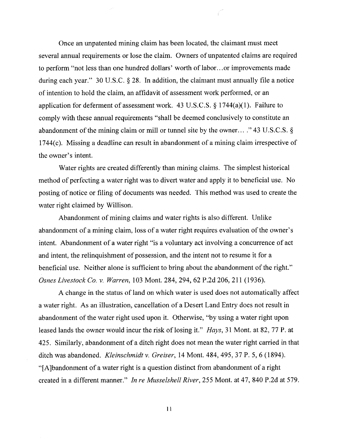Once an unpatented mining claim has been located, the claimant must meet several annual requirements or lose the claim. Owners of unpatented claims are required to perform "not less than one hundred dollars' worth of labor. .. or improvements made during each year." 30 U.S.C. § 28. In addition, the claimant must annually file a notice of intention to hold the claim, an affidavit of assessment work performed, or an application for deferment of assessment work. 43 U.S.C.S.  $\S 1744(a)(1)$ . Failure to comply with these annual requirements "shall be deemed conclusively to constitute an abandonment of the mining claim or mill or tunnel site by the owner... ." 43 U.S.C.S. § 1744 $(c)$ . Missing a deadline can result in abandonment of a mining claim irrespective of the owner's intent.

Water rights are created differently than mining claims. The simplest historical method of perfecting a water right was to divert water and apply it to beneficial use. No posting of notice or filing of documents was needed. This method was used to create the water right claimed by Willison.

Abandonment of mining claims and water rights is also different. Unlike abandonment of a mining claim, loss of a water right requires evaluation of the owner's intent. Abandonment of a water right "is a voluntary act involving a concurrence of act and intent, the relinquishment of possession, and the intent not to resume it for a beneficial use. Neither alone is sufficient to bring about the abandonment of the right." *Osnes Livestock Co. v. Warren,* 103 Mont. 284,294, 62 P.2d 206,211 (1936).

A change in the status of land on which water is used does not automatically affect a water right. As an illustration, cancellation of a Desert Land Entry does not result in abandonment of the water right used upon it. Otherwise, "by using a water right upon leased lands the owner would incur the risk of losing it." *Hays,* 31 Mont. at 82, 77 P. at 425. Similarly, abandonment of a ditch right does not mean the water right carried in that ditch was abandoned. *Kleinschmidt v. Greiser,* 14 Mont. 484,495, 37 P. 5, 6 (1894). "[A]bandonment of a water right is a question distinct from abandonment of a right created in a different manner." *In re Musselshell River,* 255 Mont. at 47, 840 P.2d at 579.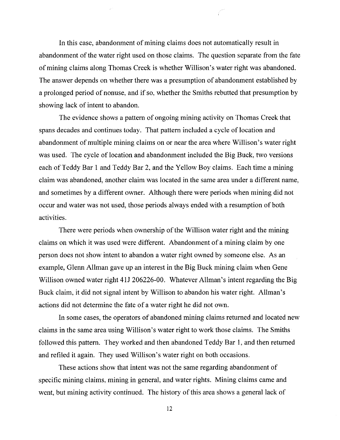In this case, abandonment of mining claims does not automatically result in abandonment of the water right used on those claims. The question separate from the fate of mining claims along Thomas Creek is whether Willison's water right was abandoned. The answer depends on whether there was a presumption of abandonment established by a prolonged period of nonuse, and if so, whether the Smiths rebutted that presumption by showing lack of intent to abandon.

The evidence shows a pattern of ongoing mining activity on Thomas Creek that spans decades and continues today. That pattern included a cycle of location and abandonment of multiple mining claims on or near the area where Willison's water right was used. The cycle of location and abandonment included the Big Buck, two versions each of Teddy Bar 1 and Teddy Bar 2, and the Yellow Boy claims. Each time a mining claim was abandoned, another claim was located in the same area under a different name, and sometimes by a different owner. Although there were periods when mining did not occur and water was not used, those periods always ended with a resumption of both activities.

There were periods when ownership of the Willison water right and the mining claims on which it was used were different. Abandonment of a mining claim by one person does not show intent to abandon a water right owned by someone else. As an example, Glenn Allman gave up an interest in the Big Buck mining claim when Gene Willison owned water right 411 206226-00. Whatever Allman's intent regarding the Big Buck claim, it did not signal intent by Willison to abandon his water right. Allman's actions did not determine the fate of a water right he did not own.

In some cases, the operators of abandoned mining claims returned and located new claims in the same area using Willison's water right to work those claims. The Smiths followed this pattern. They worked and then abandoned Teddy Bar 1, and then returned and refiled it again. They used Willison's water right on both occasions.

These actions show that intent was not the same regarding abandonment of specific mining claims, mining in general, and water rights. Mining claims came and went, but mining activity continued. The history of this area shows a general lack of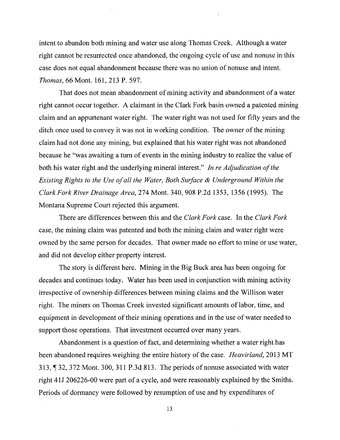intent to abandon both mining and water use along Thomas Creek. Although a water right cannot be resurrected once abandoned, the ongoing cycle of use and nonuse in this case does not equal abandonment because there was no union of nonuse and intent. *Thomas,* 66 Mont. 161, 213 P. 597.

That does not mean abandonment of mining activity and abandonment of a water right cannot occur together. A claimant in the Clark Fork basin owned a patented mining claim and an appurtenant water right. The water right was not used for fifty years and the ditch once used to convey it was not in working condition. The owner of the mining claim had not done any mining, but explained that his water right was not abandoned because he "was awaiting a turn of events in the mining industry to realize the value of both his water right and the underlying mineral interest." *In re Adjudication of the Existing Rights to the Use of all the Water, Both Surface & Underground Within the Clark Fork River Drainage Area,* 274 Mont. 340,908 P.2d 1353, 1356 (1995). The Montana Supreme Court rejected this argument.

There are differences between this and the *Clark Fork* case. In the *Clark Fork*  case, the mining claim was patented and both the mining claim and water right were owned by the same person for decades. That owner made no effort to mine or use water, and did not develop either property interest.

The story is different here. Mining in the Big Buck area has been ongoing for decades and continues today. Water has been used in conjunction with mining activity irrespective of ownership differences between mining claims and the Willison water right. The miners on Thomas Creek invested significant amounts of labor, time, and equipment in development of their mining operations and in the use of water needed to support those operations. That investment occurred over many years.

Abandonment is a question of fact, and determining whether a water right has been abandoned requires weighing the entire history of the case. *Heavirland,* 2013 MT 313,132,372 Mont. 300,311 P.3d 813. The periods ofnonuse associated with water right 41J 206226-00 were part of a cycle, and were reasonably explained by the Smiths. Periods of dormancy were followed by resumption of use and by expenditures of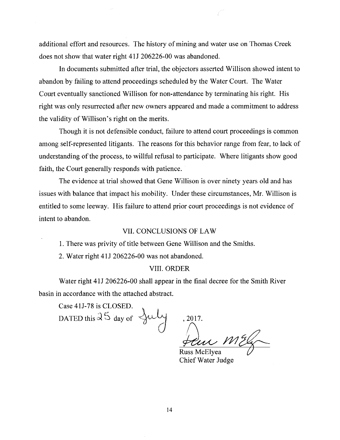additional effort and resources. The history of mining and water use on Thomas Creek does not show that water right 41J 206226-00 was abandoned.

In documents submitted after trial, the objectors asserted Willison showed intent to abandon by failing to attend proceedings scheduled by the Water Court. The Water Court eventually sanctioned Willison for non-attendance by terminating his right. His right was only resurrected after new owners appeared and made a commitment to address the validity of Willison's right on the merits.

Though it is not defensible conduct, failure to attend court proceedings is common among self-represented litigants. The reasons for this behavior range from fear, to lack of understanding of the process, to willful refusal to participate. Where litigants show good faith, the Court generally responds with patience.

The evidence at trial showed that Gene Willison is over ninety years old and has issues with balance that impact his mobility. Under these circumstances, Mr. Willison is entitled to some leeway. His failure to attend prior court proceedings is not evidence of intent to abandon.

# VII. CONCLUSIONS OF LAW

I. There was privity of title between Gene Willison and the Smiths.

2. Water right 4 lJ 206226-00 was not abandoned.

# VIII. ORDER

Water right 41J 206226-00 shall appear in the final decree for the Smith River basin in accordance with the attached abstract.

Case 41J-78 is CLOSED. DATED this  $35$  day of

 $2017.$ <br> $Russ McElyea$ 

Chief Water Judge